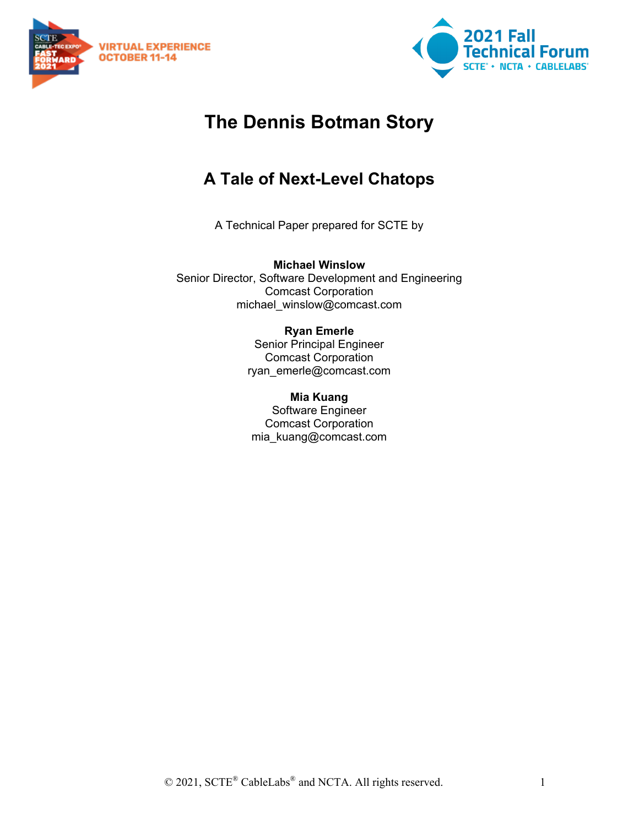



# **The Dennis Botman Story**

# **A Tale of Next-Level Chatops**

A Technical Paper prepared for SCTE by

**Michael Winslow** Senior Director, Software Development and Engineering Comcast Corporation michael\_winslow@comcast.com

#### **Ryan Emerle** Senior Principal Engineer Comcast Corporation ryan\_emerle@comcast.com

**Mia Kuang** Software Engineer Comcast Corporation mia\_kuang@comcast.com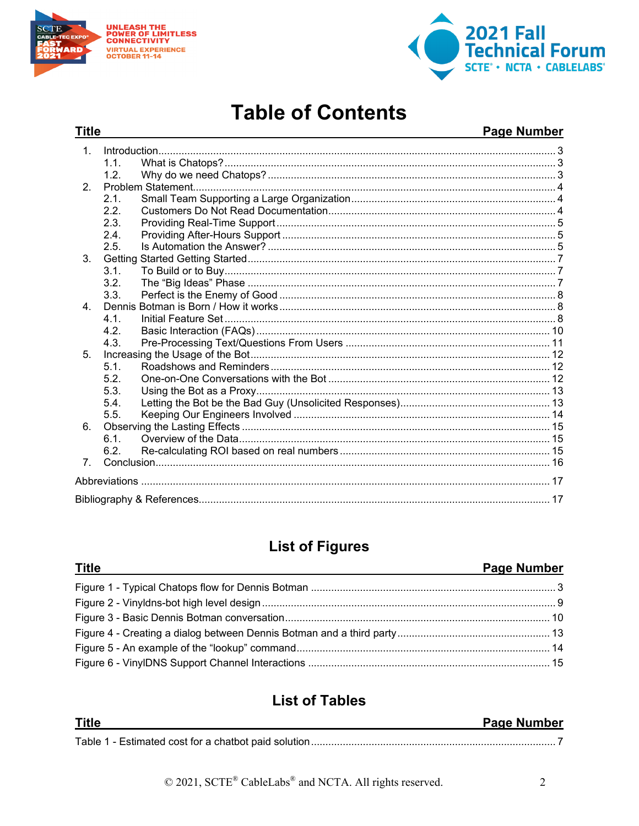

**Title** 



# **Table of Contents**

### Page Number

| 1 <sub>1</sub> |      |  |  |
|----------------|------|--|--|
|                | 1.1. |  |  |
|                | 1.2. |  |  |
| $\mathcal{P}$  |      |  |  |
|                | 2.1. |  |  |
|                | 2.2. |  |  |
|                | 2.3. |  |  |
|                | 2.4. |  |  |
|                | 2.5. |  |  |
| 3.             |      |  |  |
|                | 3.1. |  |  |
|                | 3.2. |  |  |
|                | 3.3. |  |  |
| 4 <sup>1</sup> |      |  |  |
|                | 4.1  |  |  |
|                | 4.2. |  |  |
|                | 4.3. |  |  |
| 5 <sub>1</sub> |      |  |  |
|                | 5.1. |  |  |
|                | 5.2. |  |  |
|                | 5.3. |  |  |
|                | 5.4. |  |  |
|                | 5.5. |  |  |
| 6.             |      |  |  |
|                | 61   |  |  |
|                | 6.2. |  |  |
| $7^{\circ}$    |      |  |  |
|                |      |  |  |
|                |      |  |  |
|                |      |  |  |

# **List of Figures**

| <u>Title and the contract of the contract of the contract of the contract of the contract of the contract of the contract of the contract of the contract of the contract of the contract of the contract of the contract of the</u> | <b>Page Number</b> |
|--------------------------------------------------------------------------------------------------------------------------------------------------------------------------------------------------------------------------------------|--------------------|
|                                                                                                                                                                                                                                      |                    |
|                                                                                                                                                                                                                                      |                    |
|                                                                                                                                                                                                                                      |                    |
|                                                                                                                                                                                                                                      |                    |
|                                                                                                                                                                                                                                      |                    |
|                                                                                                                                                                                                                                      |                    |

# **List of Tables**

| <b>Title</b> | <b>Page Number</b> |
|--------------|--------------------|
|              |                    |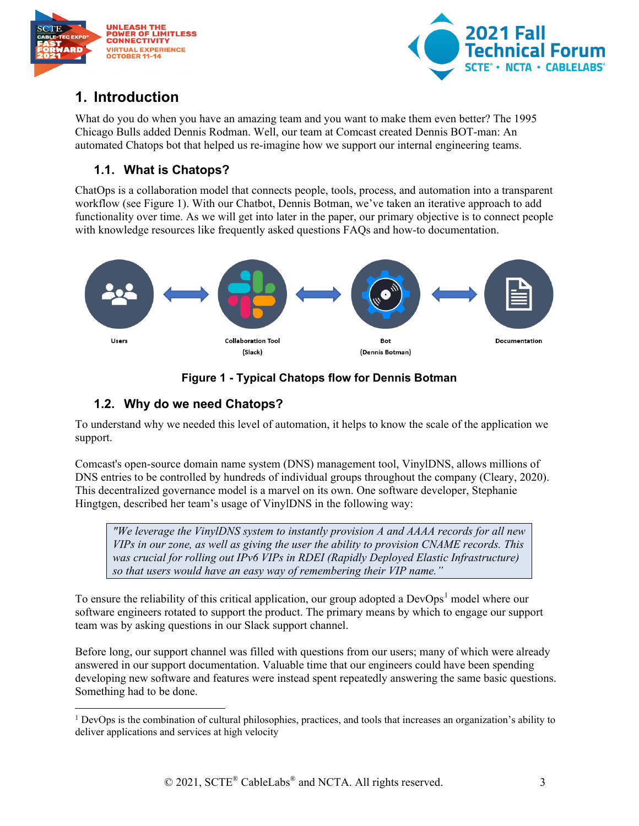



## <span id="page-2-0"></span>**1. Introduction**

What do you do when you have an amazing team and you want to make them even better? The 1995 Chicago Bulls added Dennis Rodman. Well, our team at Comcast created Dennis BOT-man: An automated Chatops bot that helped us re-imagine how we support our internal engineering teams.

#### <span id="page-2-1"></span>**1.1. What is Chatops?**

ChatOps is a collaboration model that connects people, tools, process, and automation into a transparent workflow (see Figure 1). With our Chatbot, Dennis Botman, we've taken an iterative approach to add functionality over time. As we will get into later in the paper, our primary objective is to connect people with knowledge resources like frequently asked questions FAQs and how-to documentation.



## **Figure 1 - Typical Chatops flow for Dennis Botman**

## <span id="page-2-3"></span><span id="page-2-2"></span>**1.2. Why do we need Chatops?**

To understand why we needed this level of automation, it helps to know the scale of the application we support.

Comcast's open-source domain name system (DNS) management tool, VinylDNS, allows millions of DNS entries to be controlled by hundreds of individual groups throughout the company (Cleary, 2020). This decentralized governance model is a marvel on its own. One software developer, Stephanie Hingtgen, described her team's usage of VinylDNS in the following way:

*"We leverage the VinylDNS system to instantly provision A and AAAA records for all new VIPs in our zone, as well as giving the user the ability to provision CNAME records. This was crucial for rolling out IPv6 VIPs in RDEI (Rapidly Deployed Elastic Infrastructure) so that users would have an easy way of remembering their VIP name."*

To ensure the reliability of this critical application, our group adopted a  $DevOps<sup>1</sup>$  $DevOps<sup>1</sup>$  $DevOps<sup>1</sup>$  model where our software engineers rotated to support the product. The primary means by which to engage our support team was by asking questions in our Slack support channel.

Before long, our support channel was filled with questions from our users; many of which were already answered in our support documentation. Valuable time that our engineers could have been spending developing new software and features were instead spent repeatedly answering the same basic questions. Something had to be done.

<span id="page-2-4"></span> $1$  DevOps is the combination of cultural philosophies, practices, and tools that increases an organization's ability to deliver applications and services at high velocity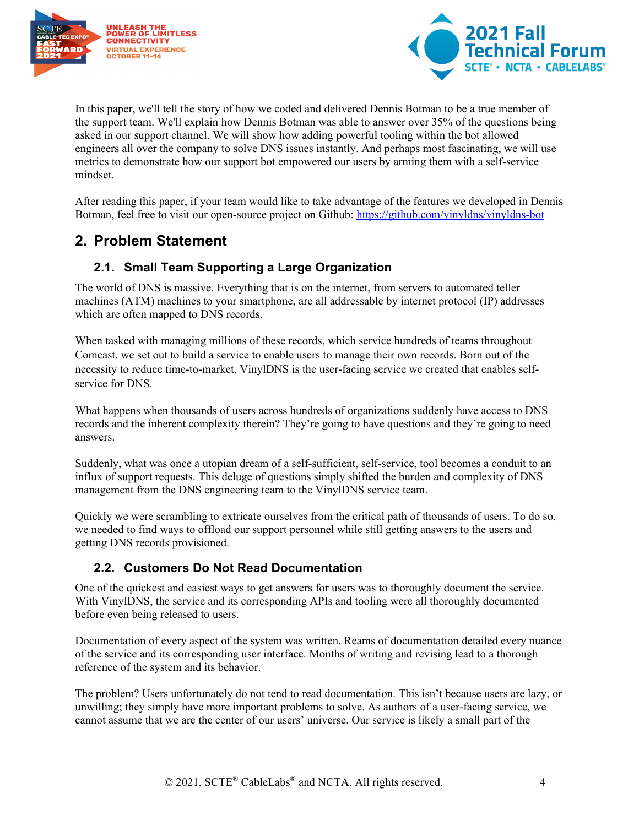



In this paper, we'll tell the story of how we coded and delivered Dennis Botman to be a true member of the support team. We'll explain how Dennis Botman was able to answer over 35% of the questions being asked in our support channel. We will show how adding powerful tooling within the bot allowed engineers all over the company to solve DNS issues instantly. And perhaps most fascinating, we will use metrics to demonstrate how our support bot empowered our users by arming them with a self-service mindset.

After reading this paper, if your team would like to take advantage of the features we developed in Dennis Botman, feel free to visit our open-source project on Github:<https://github.com/vinyldns/vinyldns-bot>

## <span id="page-3-0"></span>**2. Problem Statement**

### <span id="page-3-1"></span>**2.1. Small Team Supporting a Large Organization**

The world of DNS is massive. Everything that is on the internet, from servers to automated teller machines (ATM) machines to your smartphone, are all addressable by internet protocol (IP) addresses which are often mapped to DNS records.

When tasked with managing millions of these records, which service hundreds of teams throughout Comcast, we set out to build a service to enable users to manage their own records. Born out of the necessity to reduce time-to-market, VinylDNS is the user-facing service we created that enables selfservice for DNS.

What happens when thousands of users across hundreds of organizations suddenly have access to DNS records and the inherent complexity therein? They're going to have questions and they're going to need answers.

Suddenly, what was once a utopian dream of a self-sufficient, self-service, tool becomes a conduit to an influx of support requests. This deluge of questions simply shifted the burden and complexity of DNS management from the DNS engineering team to the VinylDNS service team.

Quickly we were scrambling to extricate ourselves from the critical path of thousands of users. To do so, we needed to find ways to offload our support personnel while still getting answers to the users and getting DNS records provisioned.

#### <span id="page-3-2"></span>**2.2. Customers Do Not Read Documentation**

One of the quickest and easiest ways to get answers for users was to thoroughly document the service. With VinylDNS, the service and its corresponding APIs and tooling were all thoroughly documented before even being released to users.

Documentation of every aspect of the system was written. Reams of documentation detailed every nuance of the service and its corresponding user interface. Months of writing and revising lead to a thorough reference of the system and its behavior.

The problem? Users unfortunately do not tend to read documentation. This isn't because users are lazy, or unwilling; they simply have more important problems to solve. As authors of a user-facing service, we cannot assume that we are the center of our users' universe. Our service is likely a small part of the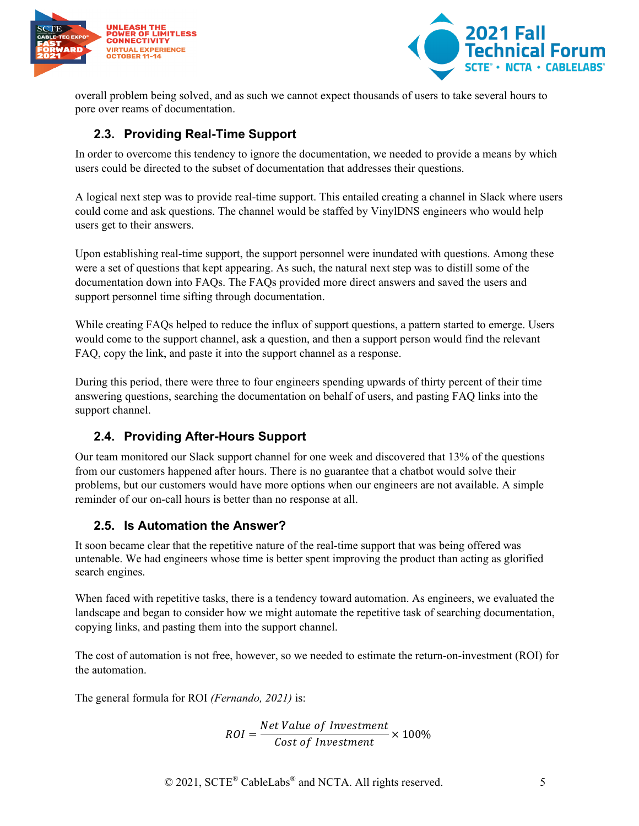



overall problem being solved, and as such we cannot expect thousands of users to take several hours to pore over reams of documentation.

#### <span id="page-4-0"></span>**2.3. Providing Real-Time Support**

In order to overcome this tendency to ignore the documentation, we needed to provide a means by which users could be directed to the subset of documentation that addresses their questions.

A logical next step was to provide real-time support. This entailed creating a channel in Slack where users could come and ask questions. The channel would be staffed by VinylDNS engineers who would help users get to their answers.

Upon establishing real-time support, the support personnel were inundated with questions. Among these were a set of questions that kept appearing. As such, the natural next step was to distill some of the documentation down into FAQs. The FAQs provided more direct answers and saved the users and support personnel time sifting through documentation.

While creating FAQs helped to reduce the influx of support questions, a pattern started to emerge. Users would come to the support channel, ask a question, and then a support person would find the relevant FAQ, copy the link, and paste it into the support channel as a response.

During this period, there were three to four engineers spending upwards of thirty percent of their time answering questions, searching the documentation on behalf of users, and pasting FAQ links into the support channel.

#### <span id="page-4-1"></span>**2.4. Providing After-Hours Support**

Our team monitored our Slack support channel for one week and discovered that 13% of the questions from our customers happened after hours. There is no guarantee that a chatbot would solve their problems, but our customers would have more options when our engineers are not available. A simple reminder of our on-call hours is better than no response at all.

#### <span id="page-4-2"></span>**2.5. Is Automation the Answer?**

It soon became clear that the repetitive nature of the real-time support that was being offered was untenable. We had engineers whose time is better spent improving the product than acting as glorified search engines.

When faced with repetitive tasks, there is a tendency toward automation. As engineers, we evaluated the landscape and began to consider how we might automate the repetitive task of searching documentation, copying links, and pasting them into the support channel.

The cost of automation is not free, however, so we needed to estimate the return-on-investment (ROI) for the automation.

The general formula for ROI *(Fernando, 2021)* is:

$$
ROI = \frac{Net Value of Investment}{Cost of Investment} \times 100\%
$$

© 2021, SCTE<sup>®</sup> CableLabs<sup>®</sup> and NCTA. All rights reserved. 5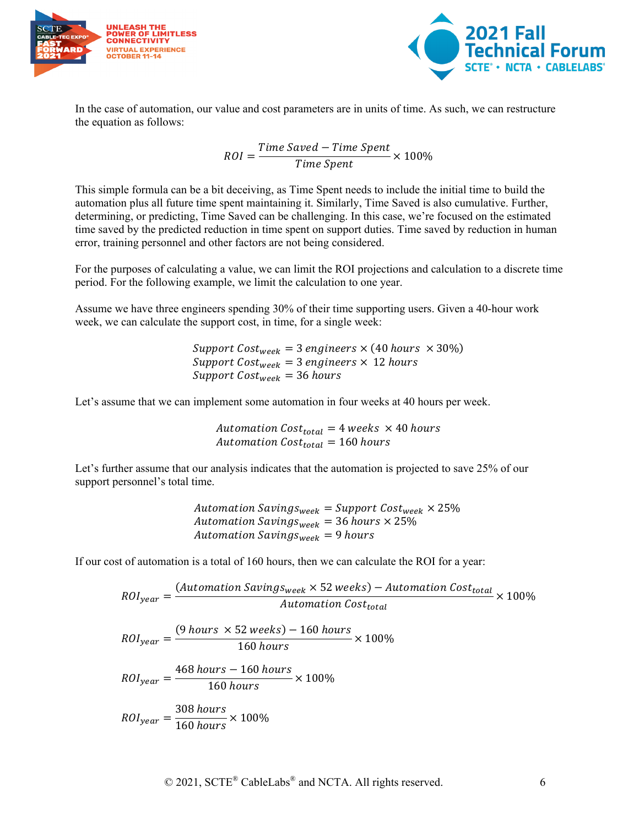



In the case of automation, our value and cost parameters are in units of time. As such, we can restructure the equation as follows:

$$
ROI = \frac{Time\ Saved - Time\ Spent}{Time\ Spent} \times 100\%
$$

This simple formula can be a bit deceiving, as Time Spent needs to include the initial time to build the automation plus all future time spent maintaining it. Similarly, Time Saved is also cumulative. Further, determining, or predicting, Time Saved can be challenging. In this case, we're focused on the estimated time saved by the predicted reduction in time spent on support duties. Time saved by reduction in human error, training personnel and other factors are not being considered.

For the purposes of calculating a value, we can limit the ROI projections and calculation to a discrete time period. For the following example, we limit the calculation to one year.

Assume we have three engineers spending 30% of their time supporting users. Given a 40-hour work week, we can calculate the support cost, in time, for a single week:

> Support Cost<sub>week</sub> = 3 engineers  $\times$  (40 hours  $\times$  30%) Support Cost<sub>week</sub> = 3 engineers  $\times$  12 hours Support  $Cost_{week} = 36$  hours

Let's assume that we can implement some automation in four weeks at 40 hours per week.

Automation  $Cost_{total} = 4$  weeks  $\times$  40 hours Automation  $Cost_{total} = 160$  hours

Let's further assume that our analysis indicates that the automation is projected to save 25% of our support personnel's total time.

> Automation Savings<sub>week</sub> = Support Cost<sub>week</sub>  $\times$  25% Automation Savings<sub>week</sub> = 36 hours  $\times$  25% Automation Saving $s_{week} = 9$  hours

If our cost of automation is a total of 160 hours, then we can calculate the ROI for a year:

$$
ROI_{year} = \frac{(Automation \, Savings_{week} \times 52 \, weeks) - Automation \, Cost_{total}}{Automation \, Cost_{total}} \times 100\%
$$

$$
ROI_{year} = \frac{(9 \text{ hours} \times 52 \text{ weeks}) - 160 \text{ hours}}{160 \text{ hours}} \times 100\%
$$

$$
ROI_{year} = \frac{468 \, hours - 160 \, hours}{160 \, hours} \times 100\%
$$

$$
ROI_{year} = \frac{308 \, hours}{160 \, hours} \times 100\%
$$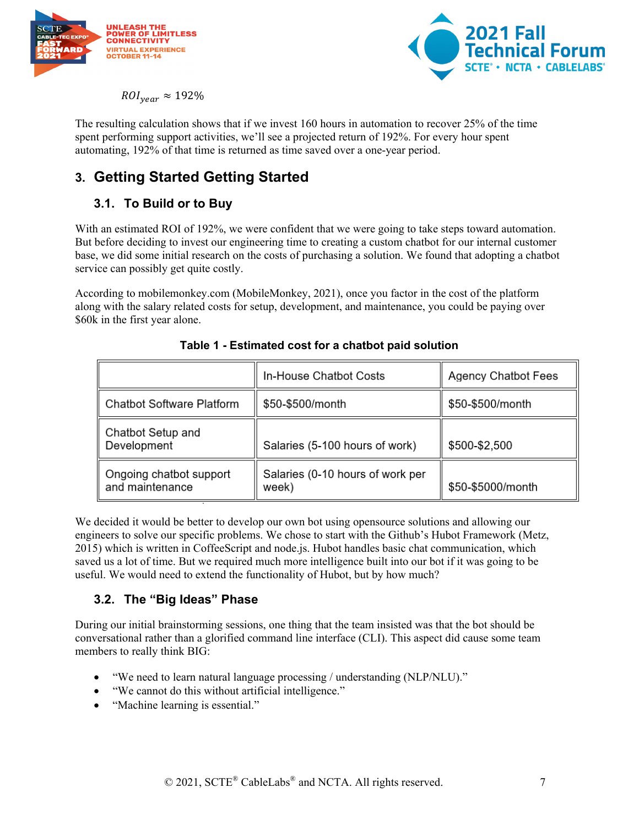



 $ROL_{year} \approx 192\%$ 

The resulting calculation shows that if we invest 160 hours in automation to recover 25% of the time spent performing support activities, we'll see a projected return of 192%. For every hour spent automating, 192% of that time is returned as time saved over a one-year period.

## <span id="page-6-0"></span>**3. Getting Started Getting Started**

## <span id="page-6-1"></span>**3.1. To Build or to Buy**

With an estimated ROI of 192%, we were confident that we were going to take steps toward automation. But before deciding to invest our engineering time to creating a custom chatbot for our internal customer base, we did some initial research on the costs of purchasing a solution. We found that adopting a chatbot service can possibly get quite costly.

<span id="page-6-3"></span>According to mobilemonkey.com (MobileMonkey, 2021), once you factor in the cost of the platform along with the salary related costs for setup, development, and maintenance, you could be paying over \$60k in the first year alone.

|                                            | In-House Chatbot Costs                    | <b>Agency Chatbot Fees</b> |
|--------------------------------------------|-------------------------------------------|----------------------------|
| <b>Chatbot Software Platform</b>           | \$50-\$500/month                          | \$50-\$500/month           |
| Chatbot Setup and<br>Development           | Salaries (5-100 hours of work)            | \$500-\$2,500              |
| Ongoing chatbot support<br>and maintenance | Salaries (0-10 hours of work per<br>week) | \$50-\$5000/month          |

#### **Table 1 - Estimated cost for a chatbot paid solution**

We decided it would be better to develop our own bot using opensource solutions and allowing our engineers to solve our specific problems. We chose to start with the Github's Hubot Framework (Metz, 2015) which is written in CoffeeScript and node.js. Hubot handles basic chat communication, which saved us a lot of time. But we required much more intelligence built into our bot if it was going to be useful. We would need to extend the functionality of Hubot, but by how much?

#### <span id="page-6-2"></span>**3.2. The "Big Ideas" Phase**

During our initial brainstorming sessions, one thing that the team insisted was that the bot should be conversational rather than a glorified command line interface (CLI). This aspect did cause some team members to really think BIG:

- "We need to learn natural language processing / understanding (NLP/NLU)."
- "We cannot do this without artificial intelligence."
- "Machine learning is essential."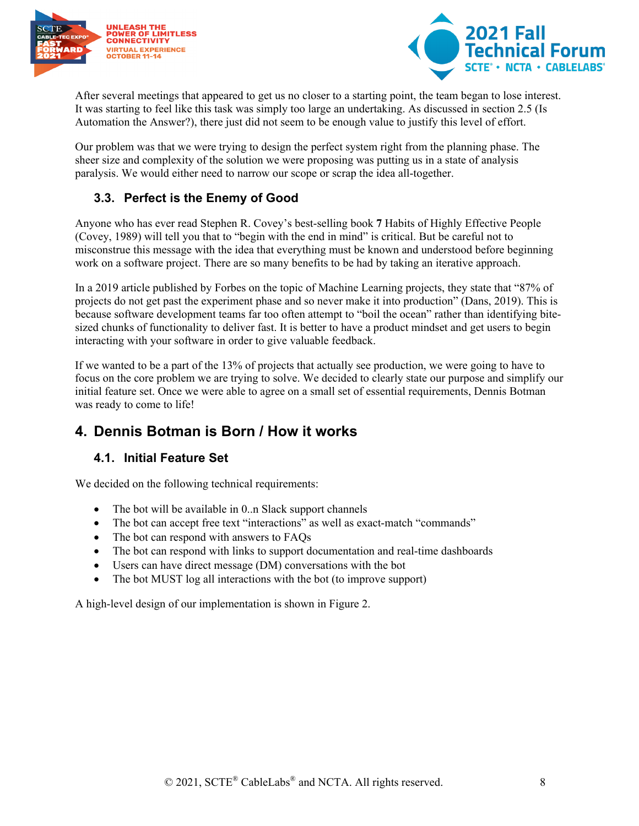



After several meetings that appeared to get us no closer to a starting point, the team began to lose interest. It was starting to feel like this task was simply too large an undertaking. As discussed in section 2.5 (Is Automation the Answer?), there just did not seem to be enough value to justify this level of effort.

Our problem was that we were trying to design the perfect system right from the planning phase. The sheer size and complexity of the solution we were proposing was putting us in a state of analysis paralysis. We would either need to narrow our scope or scrap the idea all-together.

### <span id="page-7-0"></span>**3.3. Perfect is the Enemy of Good**

Anyone who has ever read Stephen R. Covey's best-selling book **7** Habits of Highly Effective People (Covey, 1989) will tell you that to "begin with the end in mind" is critical. But be careful not to misconstrue this message with the idea that everything must be known and understood before beginning work on a software project. There are so many benefits to be had by taking an iterative approach.

In a 2019 article published by Forbes on the topic of Machine Learning projects, they state that "87% of projects do not get past the experiment phase and so never make it into production" (Dans, 2019). This is because software development teams far too often attempt to "boil the ocean" rather than identifying bitesized chunks of functionality to deliver fast. It is better to have a product mindset and get users to begin interacting with your software in order to give valuable feedback.

If we wanted to be a part of the 13% of projects that actually see production, we were going to have to focus on the core problem we are trying to solve. We decided to clearly state our purpose and simplify our initial feature set. Once we were able to agree on a small set of essential requirements, Dennis Botman was ready to come to life!

## <span id="page-7-1"></span>**4. Dennis Botman is Born / How it works**

#### <span id="page-7-2"></span>**4.1. Initial Feature Set**

We decided on the following technical requirements:

- The bot will be available in 0..n Slack support channels
- The bot can accept free text "interactions" as well as exact-match "commands"
- The bot can respond with answers to FAQs
- The bot can respond with links to support documentation and real-time dashboards
- Users can have direct message (DM) conversations with the bot
- The bot MUST log all interactions with the bot (to improve support)

A high-level design of our implementation is shown in Figure 2.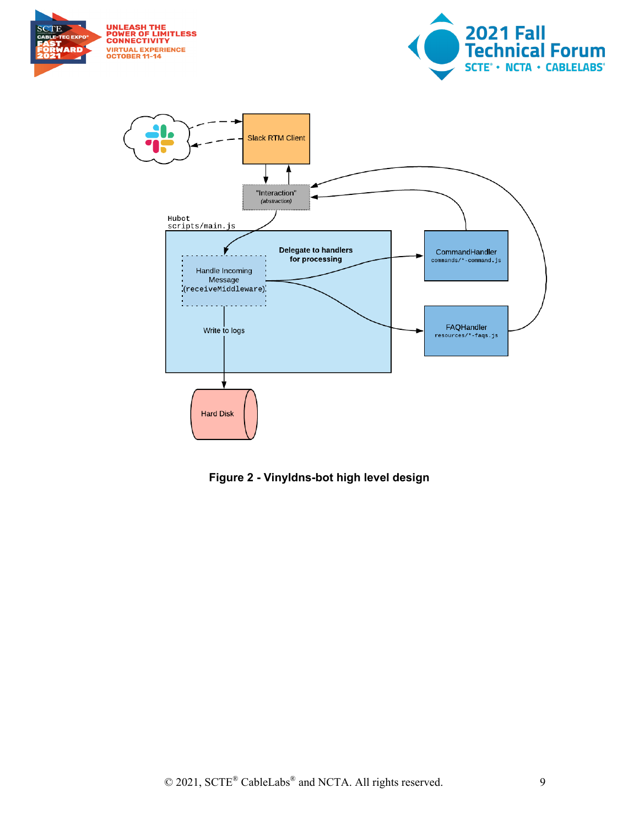





<span id="page-8-0"></span>**Figure 2 - Vinyldns-bot high level design**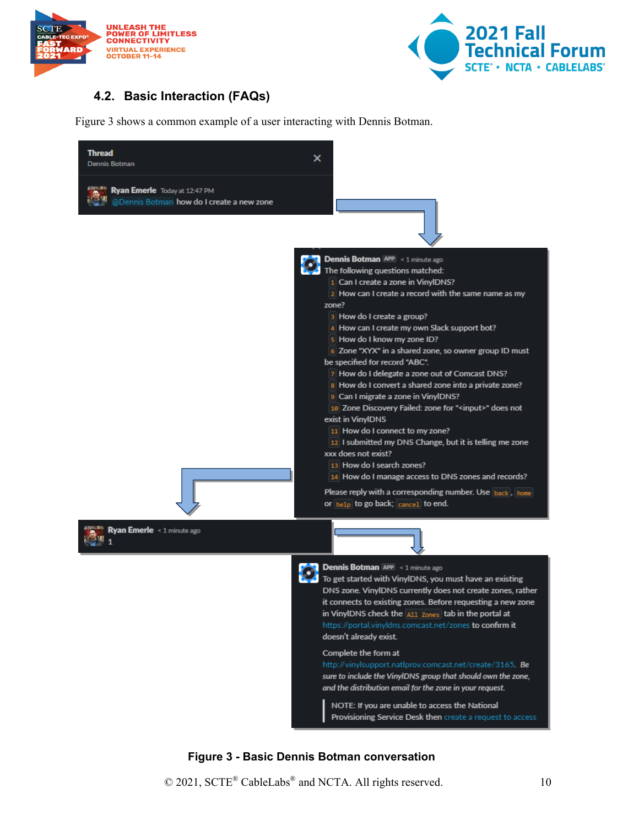



#### <span id="page-9-0"></span>**4.2. Basic Interaction (FAQs)**

Figure 3 shows a common example of a user interacting with Dennis Botman.



#### **Figure 3 - Basic Dennis Botman conversation**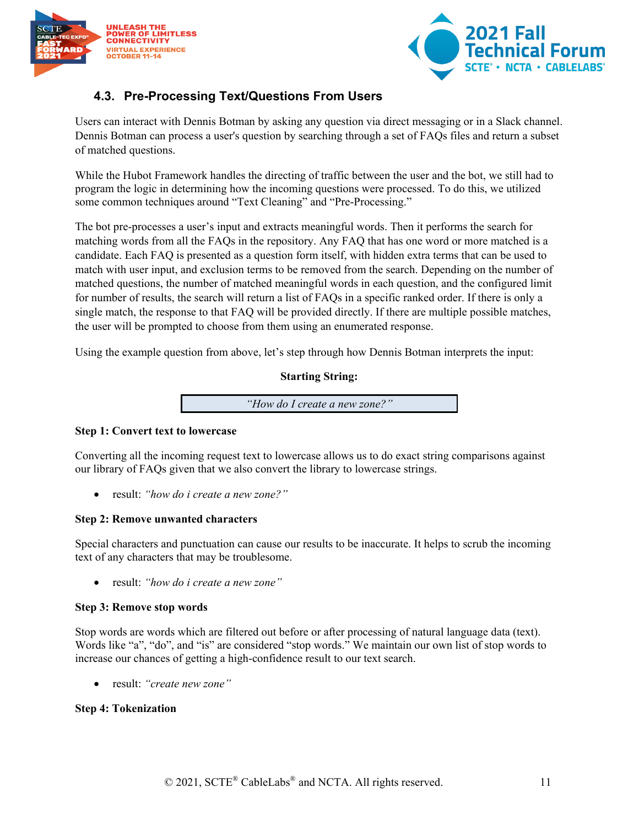



## <span id="page-10-0"></span>**4.3. Pre-Processing Text/Questions From Users**

Users can interact with Dennis Botman by asking any question via direct messaging or in a Slack channel. Dennis Botman can process a user's question by searching through a set of FAQs files and return a subset of matched questions.

While the Hubot Framework handles the directing of traffic between the user and the bot, we still had to program the logic in determining how the incoming questions were processed. To do this, we utilized some common techniques around "Text Cleaning" and "Pre-Processing."

The bot pre-processes a user's input and extracts meaningful words. Then it performs the search for matching words from all the FAQs in the repository. Any FAQ that has one word or more matched is a candidate. Each FAQ is presented as a question form itself, with hidden extra terms that can be used to match with user input, and exclusion terms to be removed from the search. Depending on the number of matched questions, the number of matched meaningful words in each question, and the configured limit for number of results, the search will return a list of FAQs in a specific ranked order. If there is only a single match, the response to that FAQ will be provided directly. If there are multiple possible matches, the user will be prompted to choose from them using an enumerated response.

Using the example question from above, let's step through how Dennis Botman interprets the input:

#### **Starting String:**

*"How do I create a new zone?"*

#### **Step 1: Convert text to lowercase**

Converting all the incoming request text to lowercase allows us to do exact string comparisons against our library of FAQs given that we also convert the library to lowercase strings.

• result: *"how do i create a new zone?"*

#### **Step 2: Remove unwanted characters**

Special characters and punctuation can cause our results to be inaccurate. It helps to scrub the incoming text of any characters that may be troublesome.

• result: *"how do i create a new zone"*

#### **Step 3: Remove stop words**

Stop words are words which are filtered out before or after processing of natural language data (text). Words like "a", "do", and "is" are considered "stop words." We maintain our own list of stop words to increase our chances of getting a high-confidence result to our text search.

• result: *"create new zone"*

#### **Step 4: Tokenization**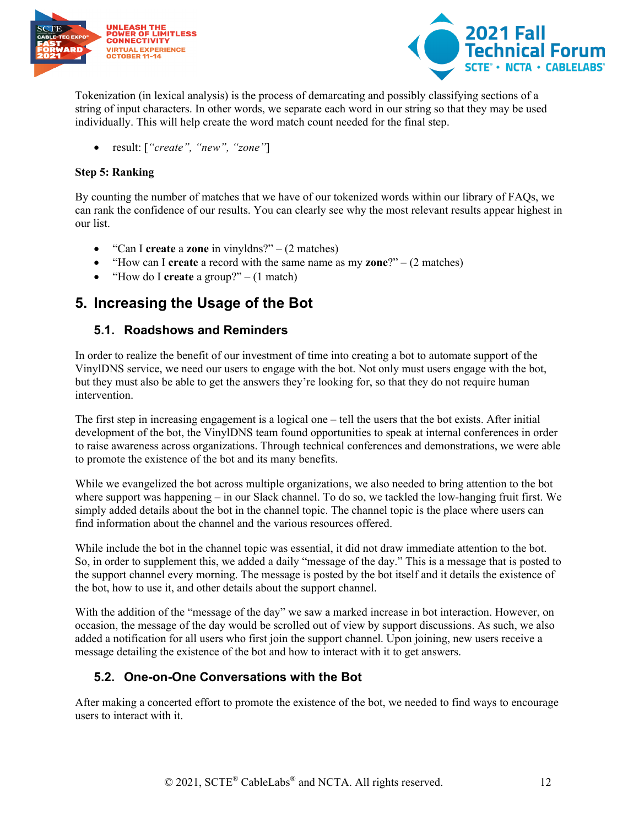



Tokenization (in lexical analysis) is the process of demarcating and possibly classifying sections of a string of input characters. In other words, we separate each word in our string so that they may be used individually. This will help create the word match count needed for the final step.

• result: [*"create", "new", "zone"*]

#### **Step 5: Ranking**

By counting the number of matches that we have of our tokenized words within our library of FAQs, we can rank the confidence of our results. You can clearly see why the most relevant results appear highest in our list.

- "Can I **create** a **zone** in vinyldns?" (2 matches)
- "How can I **create** a record with the same name as my **zone**?" (2 matches)
- "How do I **create** a group?" (1 match)

## <span id="page-11-0"></span>**5. Increasing the Usage of the Bot**

#### <span id="page-11-1"></span>**5.1. Roadshows and Reminders**

In order to realize the benefit of our investment of time into creating a bot to automate support of the VinylDNS service, we need our users to engage with the bot. Not only must users engage with the bot, but they must also be able to get the answers they're looking for, so that they do not require human intervention.

The first step in increasing engagement is a logical one – tell the users that the bot exists. After initial development of the bot, the VinylDNS team found opportunities to speak at internal conferences in order to raise awareness across organizations. Through technical conferences and demonstrations, we were able to promote the existence of the bot and its many benefits.

While we evangelized the bot across multiple organizations, we also needed to bring attention to the bot where support was happening – in our Slack channel. To do so, we tackled the low-hanging fruit first. We simply added details about the bot in the channel topic. The channel topic is the place where users can find information about the channel and the various resources offered.

While include the bot in the channel topic was essential, it did not draw immediate attention to the bot. So, in order to supplement this, we added a daily "message of the day." This is a message that is posted to the support channel every morning. The message is posted by the bot itself and it details the existence of the bot, how to use it, and other details about the support channel.

With the addition of the "message of the day" we saw a marked increase in bot interaction. However, on occasion, the message of the day would be scrolled out of view by support discussions. As such, we also added a notification for all users who first join the support channel. Upon joining, new users receive a message detailing the existence of the bot and how to interact with it to get answers.

#### <span id="page-11-2"></span>**5.2. One-on-One Conversations with the Bot**

After making a concerted effort to promote the existence of the bot, we needed to find ways to encourage users to interact with it.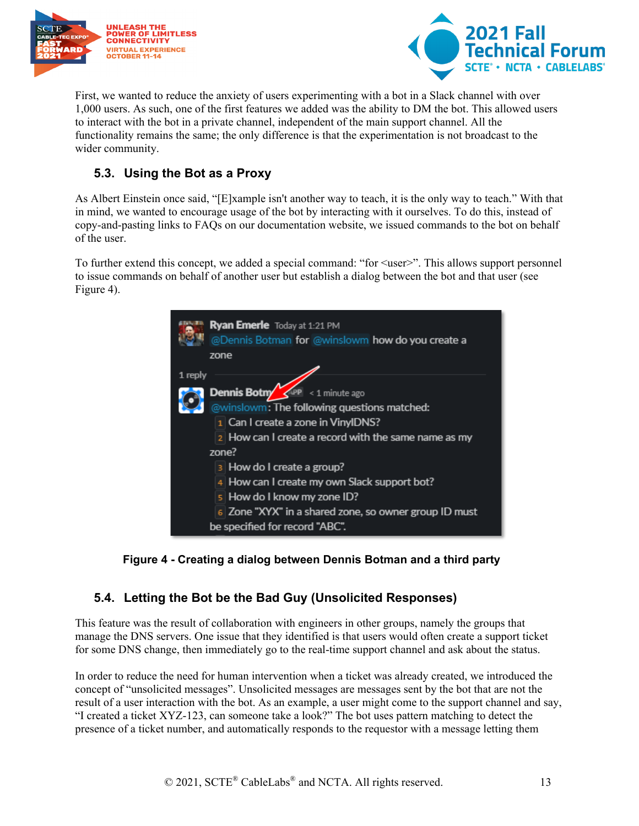



First, we wanted to reduce the anxiety of users experimenting with a bot in a Slack channel with over 1,000 users. As such, one of the first features we added was the ability to DM the bot. This allowed users to interact with the bot in a private channel, independent of the main support channel. All the functionality remains the same; the only difference is that the experimentation is not broadcast to the wider community.

### <span id="page-12-0"></span>**5.3. Using the Bot as a Proxy**

As Albert Einstein once said, "[E]xample isn't another way to teach, it is the only way to teach." With that in mind, we wanted to encourage usage of the bot by interacting with it ourselves. To do this, instead of copy-and-pasting links to FAQs on our documentation website, we issued commands to the bot on behalf of the user.

To further extend this concept, we added a special command: "for <user>". This allows support personnel to issue commands on behalf of another user but establish a dialog between the bot and that user (see Figure 4).





#### <span id="page-12-1"></span>**5.4. Letting the Bot be the Bad Guy (Unsolicited Responses)**

This feature was the result of collaboration with engineers in other groups, namely the groups that manage the DNS servers. One issue that they identified is that users would often create a support ticket for some DNS change, then immediately go to the real-time support channel and ask about the status.

In order to reduce the need for human intervention when a ticket was already created, we introduced the concept of "unsolicited messages". Unsolicited messages are messages sent by the bot that are not the result of a user interaction with the bot. As an example, a user might come to the support channel and say, "I created a ticket XYZ-123, can someone take a look?" The bot uses pattern matching to detect the presence of a ticket number, and automatically responds to the requestor with a message letting them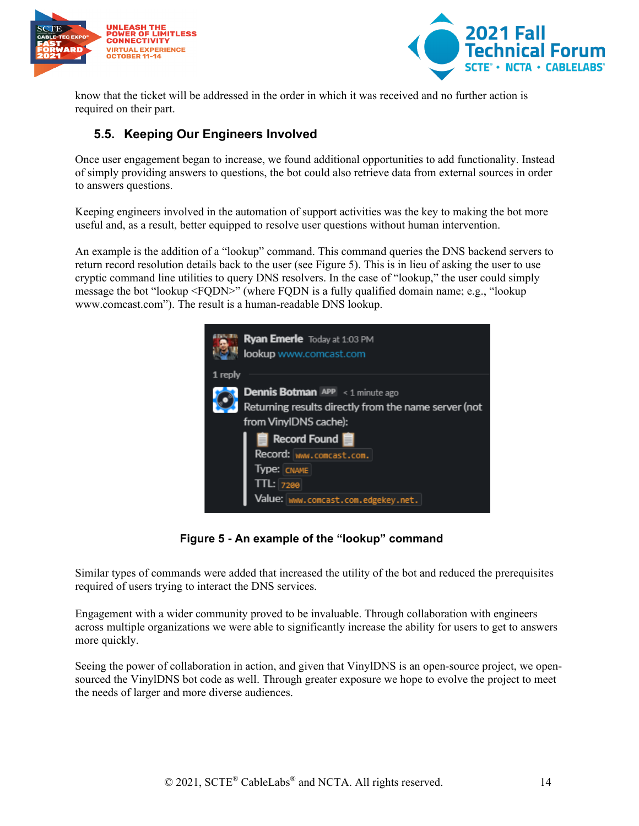



know that the ticket will be addressed in the order in which it was received and no further action is required on their part.

#### <span id="page-13-0"></span>**5.5. Keeping Our Engineers Involved**

Once user engagement began to increase, we found additional opportunities to add functionality. Instead of simply providing answers to questions, the bot could also retrieve data from external sources in order to answers questions.

Keeping engineers involved in the automation of support activities was the key to making the bot more useful and, as a result, better equipped to resolve user questions without human intervention.

An example is the addition of a "lookup" command. This command queries the DNS backend servers to return record resolution details back to the user (see Figure 5). This is in lieu of asking the user to use cryptic command line utilities to query DNS resolvers. In the case of "lookup," the user could simply message the bot "lookup <FQDN>" (where FQDN is a fully qualified domain name; e.g., "lookup www.comcast.com"). The result is a human-readable DNS lookup.



**Figure 5 - An example of the "lookup" command**

Similar types of commands were added that increased the utility of the bot and reduced the prerequisites required of users trying to interact the DNS services.

Engagement with a wider community proved to be invaluable. Through collaboration with engineers across multiple organizations we were able to significantly increase the ability for users to get to answers more quickly.

Seeing the power of collaboration in action, and given that VinylDNS is an open-source project, we opensourced the VinylDNS bot code as well. Through greater exposure we hope to evolve the project to meet the needs of larger and more diverse audiences.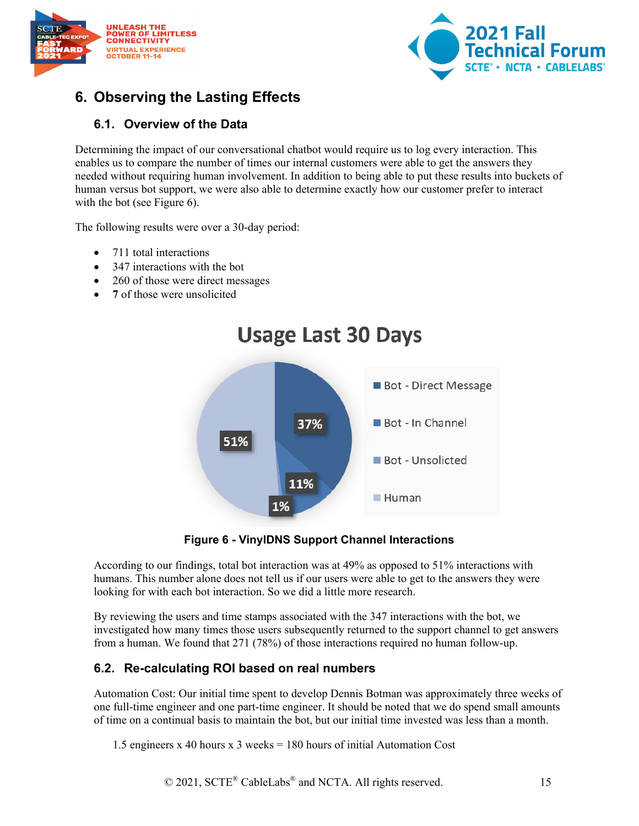



# <span id="page-14-0"></span>**6. Observing the Lasting Effects**

#### <span id="page-14-1"></span>**6.1. Overview of the Data**

Determining the impact of our conversational chatbot would require us to log every interaction. This enables us to compare the number of times our internal customers were able to get the answers they needed without requiring human involvement. In addition to being able to put these results into buckets of human versus bot support, we were also able to determine exactly how our customer prefer to interact with the bot (see Figure 6).

The following results were over a 30-day period:

- 711 total interactions
- 347 interactions with the bot
- 260 of those were direct messages
- 7 of those were unsolicited



**Figure 6 - VinylDNS Support Channel Interactions**

<span id="page-14-3"></span>According to our findings, total bot interaction was at 49% as opposed to 51% interactions with humans. This number alone does not tell us if our users were able to get to the answers they were looking for with each bot interaction. So we did a little more research.

By reviewing the users and time stamps associated with the 347 interactions with the bot, we investigated how many times those users subsequently returned to the support channel to get answers from a human. We found that 271 (78%) of those interactions required no human follow-up.

#### <span id="page-14-2"></span>**6.2. Re-calculating ROI based on real numbers**

Automation Cost: Our initial time spent to develop Dennis Botman was approximately three weeks of one full-time engineer and one part-time engineer. It should be noted that we do spend small amounts of time on a continual basis to maintain the bot, but our initial time invested was less than a month.

1.5 engineers x 40 hours x 3 weeks = 180 hours of initial Automation Cost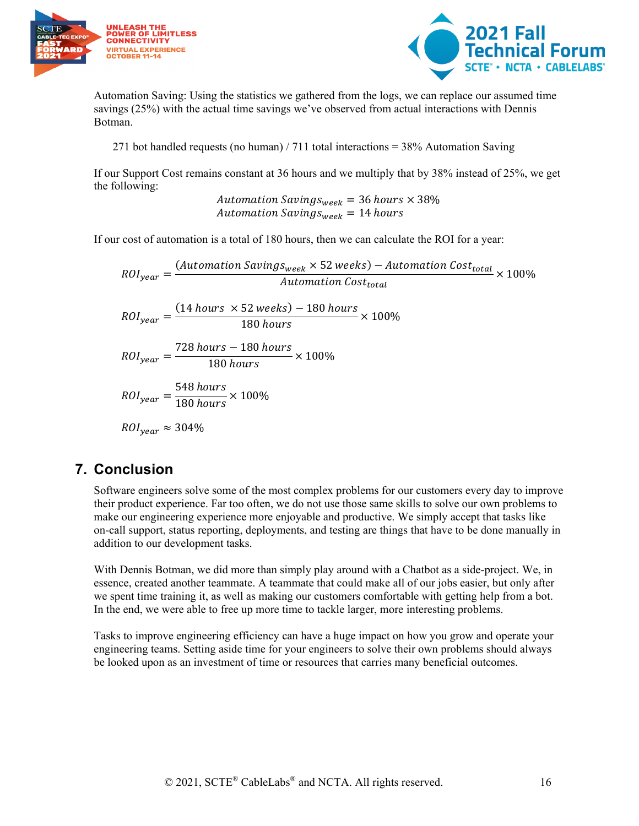



Automation Saving: Using the statistics we gathered from the logs, we can replace our assumed time savings (25%) with the actual time savings we've observed from actual interactions with Dennis Botman.

271 bot handled requests (no human) / 711 total interactions = 38% Automation Saving

If our Support Cost remains constant at 36 hours and we multiply that by 38% instead of 25%, we get the following:

> Automation Savings<sub>week</sub> = 36 hours  $\times$  38% Automation Saving $s_{week} = 14$  hours

If our cost of automation is a total of 180 hours, then we can calculate the ROI for a year:

 $\textit{ROI}_{year} = \frac{(\textit{Automation Savings}_{week} \times 52 \textit{ weeks}) - \textit{Automation Cost}_{total}}{\textit{Automation Cost}_{total}} \times 100\%$  $\textit{ROI}_{\textit{year}} = \frac{(14 \textit{ hours } \times 52 \textit{ weeks}) - 180 \textit{ hours}}{180 \textit{ hours}} \times 100\%$  $ROI_{year} = \frac{728 \, hours - 180 \, hours}{180 \, hours} \times 100\%$  $ROI_{year} = \frac{548 \; hours}{180 \; hours} \times 100\%$  $ROI_{year} \approx 304\%$ 

## <span id="page-15-0"></span>**7. Conclusion**

Software engineers solve some of the most complex problems for our customers every day to improve their product experience. Far too often, we do not use those same skills to solve our own problems to make our engineering experience more enjoyable and productive. We simply accept that tasks like on-call support, status reporting, deployments, and testing are things that have to be done manually in addition to our development tasks.

With Dennis Botman, we did more than simply play around with a Chatbot as a side-project. We, in essence, created another teammate. A teammate that could make all of our jobs easier, but only after we spent time training it, as well as making our customers comfortable with getting help from a bot. In the end, we were able to free up more time to tackle larger, more interesting problems.

Tasks to improve engineering efficiency can have a huge impact on how you grow and operate your engineering teams. Setting aside time for your engineers to solve their own problems should always be looked upon as an investment of time or resources that carries many beneficial outcomes.